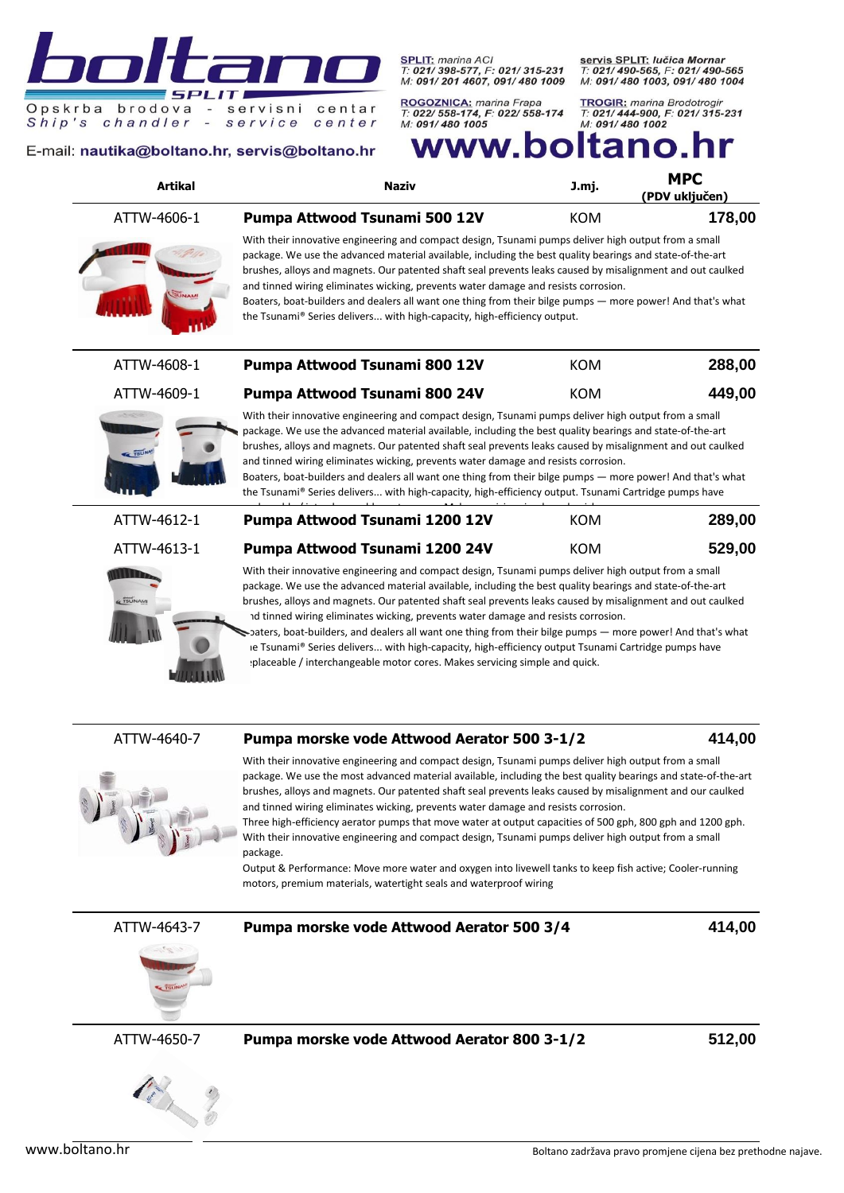SPLIT: marina ACI<br>T: 021/ 398-577, F: 021/ 315-231<br>M: 091/ 201 4607, 091/ 480 1009

centar

center

ROGOZNICA: marina Frapa<br>T: 022/ 558-174, F: 022/ 558-174<br>M: 091/ 480 1005

servis SPLIT: lučica Mornar T: 021/490-565, F: 021/490-565<br>M: 091/480 1003, 091/480 1004

**TROGIR:** marina Brodotrogir **T: 021/444-900, F: 021/315-231**<br>T: 021/444-900, F: 021/315-231<br>M: 091/480 1002

E-mail: nautika@boltano.hr, servis@boltano.hr

 $\overline{a}$ 

 $\sim$ 

**SPL** 

Opskrba brodova

chandler

Ship's

 $IT$ 

servisni

service

# www.boltano.

| <b>Artikal</b> | <b>Naziv</b>                                                                                                                                                                                                                                                                                                                                                                                                                                                                                                                                                                                                                                                                                                            | J.mj.      | <b>MPC</b><br>(PDV uključen) |
|----------------|-------------------------------------------------------------------------------------------------------------------------------------------------------------------------------------------------------------------------------------------------------------------------------------------------------------------------------------------------------------------------------------------------------------------------------------------------------------------------------------------------------------------------------------------------------------------------------------------------------------------------------------------------------------------------------------------------------------------------|------------|------------------------------|
| ATTW-4606-1    | Pumpa Attwood Tsunami 500 12V                                                                                                                                                                                                                                                                                                                                                                                                                                                                                                                                                                                                                                                                                           | <b>KOM</b> | 178,00                       |
| <b>ISUNAM</b>  | With their innovative engineering and compact design, Tsunami pumps deliver high output from a small<br>package. We use the advanced material available, including the best quality bearings and state-of-the-art<br>brushes, alloys and magnets. Our patented shaft seal prevents leaks caused by misalignment and out caulked<br>and tinned wiring eliminates wicking, prevents water damage and resists corrosion.<br>Boaters, boat-builders and dealers all want one thing from their bilge pumps — more power! And that's what<br>the Tsunami® Series delivers with high-capacity, high-efficiency output.                                                                                                         |            |                              |
| ATTW-4608-1    | Pumpa Attwood Tsunami 800 12V                                                                                                                                                                                                                                                                                                                                                                                                                                                                                                                                                                                                                                                                                           | <b>KOM</b> | 288,00                       |
| ATTW-4609-1    | Pumpa Attwood Tsunami 800 24V                                                                                                                                                                                                                                                                                                                                                                                                                                                                                                                                                                                                                                                                                           | <b>KOM</b> | 449,00                       |
| <b>TSUN</b>    | With their innovative engineering and compact design, Tsunami pumps deliver high output from a small<br>package. We use the advanced material available, including the best quality bearings and state-of-the-art<br>brushes, alloys and magnets. Our patented shaft seal prevents leaks caused by misalignment and out caulked<br>and tinned wiring eliminates wicking, prevents water damage and resists corrosion.<br>Boaters, boat-builders and dealers all want one thing from their bilge pumps — more power! And that's what<br>the Tsunami® Series delivers with high-capacity, high-efficiency output. Tsunami Cartridge pumps have                                                                            |            |                              |
| ATTW-4612-1    | Pumpa Attwood Tsunami 1200 12V                                                                                                                                                                                                                                                                                                                                                                                                                                                                                                                                                                                                                                                                                          | <b>KOM</b> | 289,00                       |
| ATTW-4613-1    | Pumpa Attwood Tsunami 1200 24V                                                                                                                                                                                                                                                                                                                                                                                                                                                                                                                                                                                                                                                                                          | <b>KOM</b> | 529,00                       |
| <b>TSUNAMI</b> | With their innovative engineering and compact design, Tsunami pumps deliver high output from a small<br>package. We use the advanced material available, including the best quality bearings and state-of-the-art<br>brushes, alloys and magnets. Our patented shaft seal prevents leaks caused by misalignment and out caulked<br>ad tinned wiring eliminates wicking, prevents water damage and resists corrosion.<br>saters, boat-builders, and dealers all want one thing from their bilge pumps — more power! And that's what<br>ie Tsunami® Series delivers with high-capacity, high-efficiency output Tsunami Cartridge pumps have<br>placeable / interchangeable motor cores. Makes servicing simple and quick. |            |                              |



### ATTW-4640-7 **Pumpa morske vode Attwood Aerator 500 3-1/2 414,00**

With their innovative engineering and compact design, Tsunami pumps deliver high output from a small package. We use the most advanced material available, including the best quality bearings and state-of-the-art brushes, alloys and magnets. Our patented shaft seal prevents leaks caused by misalignment and our caulked and tinned wiring eliminates wicking, prevents water damage and resists corrosion.

Three high-efficiency aerator pumps that move water at output capacities of 500 gph, 800 gph and 1200 gph. With their innovative engineering and compact design, Tsunami pumps deliver high output from a small package.

Output & Performance: Move more water and oxygen into livewell tanks to keep fish active; Cooler-running motors, premium materials, watertight seals and waterproof wiring



ATTW-4643-7 **Pumpa morske vode Attwood Aerator 500 3/4 414,00**



ATTW-4650-7 **Pumpa morske vode Attwood Aerator 800 3-1/2 512,00**

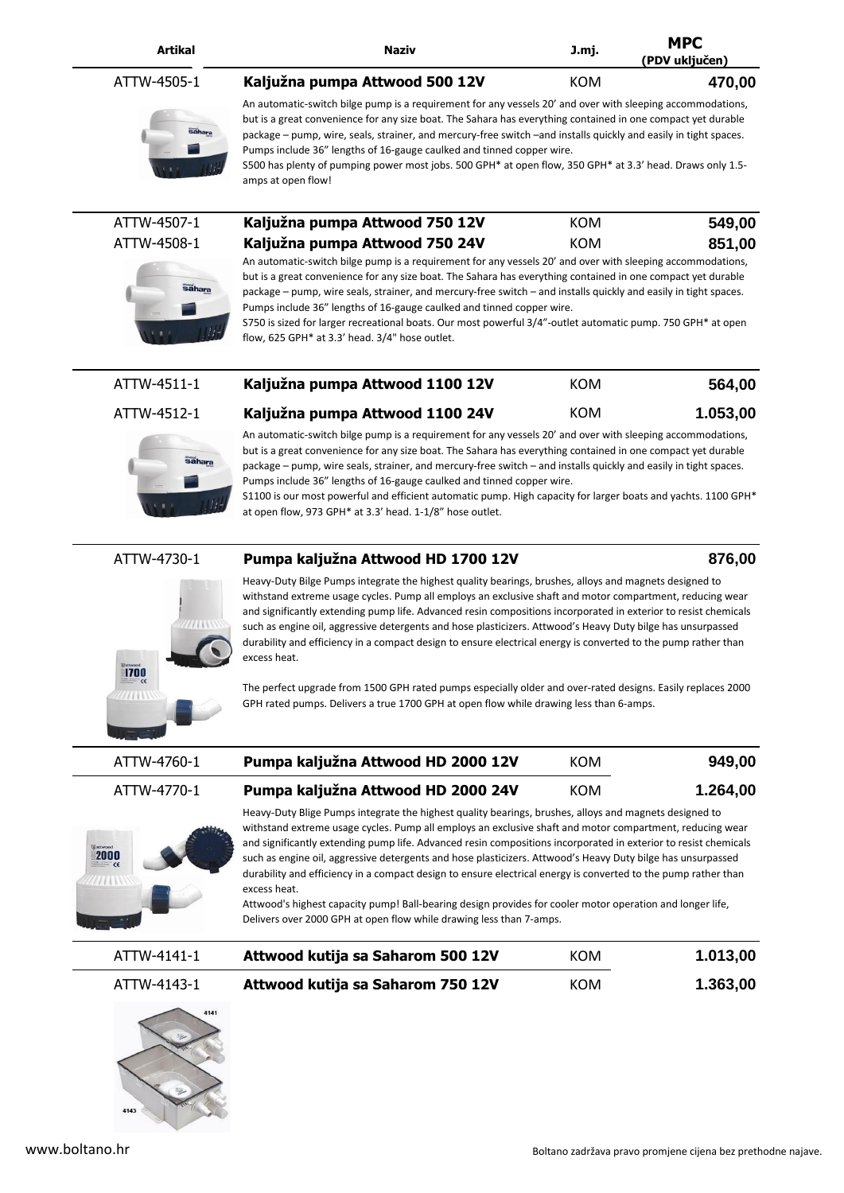| <b>Artikal</b> | Naziv | J.mj. | <b>MPC</b>       |
|----------------|-------|-------|------------------|
|                |       |       | $- - - - -$<br>. |

### ATTW-4505-1 **Kaljužna pumpa Attwood 500 12V** KOM **470,00**



An automatic-switch bilge pump is a requirement for any vessels 20' and over with sleeping accommodations, but is a great convenience for any size boat. The Sahara has everything contained in one compact yet durable package – pump, wire, seals, strainer, and mercury-free switch –and installs quickly and easily in tight spaces. Pumps include 36" lengths of 16-gauge caulked and tinned copper wire. S500 has plenty of pumping power most jobs. 500 GPH\* at open flow, 350 GPH\* at 3.3' head. Draws only 1.5-

**(PDV uključen)**

amps at open flow!

| ATTW-4507-1 | Kaljužna pumpa Attwood 750 12V | KOM | 549,00 |
|-------------|--------------------------------|-----|--------|
| ATTW-4508-1 | Kaljužna pumpa Attwood 750 24V | KOM | 851,00 |



An automatic-switch bilge pump is a requirement for any vessels 20' and over with sleeping accommodations, but is a great convenience for any size boat. The Sahara has everything contained in one compact yet durable package – pump, wire seals, strainer, and mercury-free switch – and installs quickly and easily in tight spaces. Pumps include 36" lengths of 16-gauge caulked and tinned copper wire.

S750 is sized for larger recreational boats. Our most powerful 3/4"-outlet automatic pump. 750 GPH\* at open flow, 625 GPH\* at 3.3' head. 3/4" hose outlet.

|  | ATTW-4511-1 | Kaljužna pumpa Attwood 1100 12V                                                                           | KOM | 564,00   |
|--|-------------|-----------------------------------------------------------------------------------------------------------|-----|----------|
|  | ATTW-4512-1 | Kaljužna pumpa Attwood 1100 24V                                                                           | KOM | 1.053,00 |
|  |             | An automatic-switch bilge numn is a requirement for any vessels 20' and over with sleeping accommodations |     |          |



An automatic-switch bilge pump is a requirement for any vessels 20' and over with sleeping accommodations, but is a great convenience for any size boat. The Sahara has everything contained in one compact yet durable package – pump, wire seals, strainer, and mercury-free switch – and installs quickly and easily in tight spaces. Pumps include 36" lengths of 16-gauge caulked and tinned copper wire.

S1100 is our most powerful and efficient automatic pump. High capacity for larger boats and yachts. 1100 GPH\* at open flow, 973 GPH\* at 3.3' head. 1-1/8" hose outlet.

# 1700  $\pi$

## ATTW-4730-1 **Pumpa kaljužna Attwood HD 1700 12V 876,00**

Heavy-Duty Bilge Pumps integrate the highest quality bearings, brushes, alloys and magnets designed to withstand extreme usage cycles. Pump all employs an exclusive shaft and motor compartment, reducing wear and significantly extending pump life. Advanced resin compositions incorporated in exterior to resist chemicals such as engine oil, aggressive detergents and hose plasticizers. Attwood's Heavy Duty bilge has unsurpassed durability and efficiency in a compact design to ensure electrical energy is converted to the pump rather than excess heat.

The perfect upgrade from 1500 GPH rated pumps especially older and over-rated designs. Easily replaces 2000 GPH rated pumps. Delivers a true 1700 GPH at open flow while drawing less than 6-amps.

| ATTW-4760-1 | Pumpa kaljužna Attwood HD 2000 12V | KOM | 949,00   |
|-------------|------------------------------------|-----|----------|
| ATTW-4770-1 | Pumpa kaljužna Attwood HD 2000 24V | KOM | 1.264,00 |



Heavy-Duty Blige Pumps integrate the highest quality bearings, brushes, alloys and magnets designed to withstand extreme usage cycles. Pump all employs an exclusive shaft and motor compartment, reducing wear and significantly extending pump life. Advanced resin compositions incorporated in exterior to resist chemicals such as engine oil, aggressive detergents and hose plasticizers. Attwood's Heavy Duty bilge has unsurpassed durability and efficiency in a compact design to ensure electrical energy is converted to the pump rather than excess heat.

Attwood's highest capacity pump! Ball-bearing design provides for cooler motor operation and longer life, Delivers over 2000 GPH at open flow while drawing less than 7-amps.

| ATTW-4141-1 | Attwood kutija sa Saharom 500 12V | KOM | 1.013,00 |
|-------------|-----------------------------------|-----|----------|
| ATTW-4143-1 | Attwood kutija sa Saharom 750 12V | KOM | 1.363,00 |